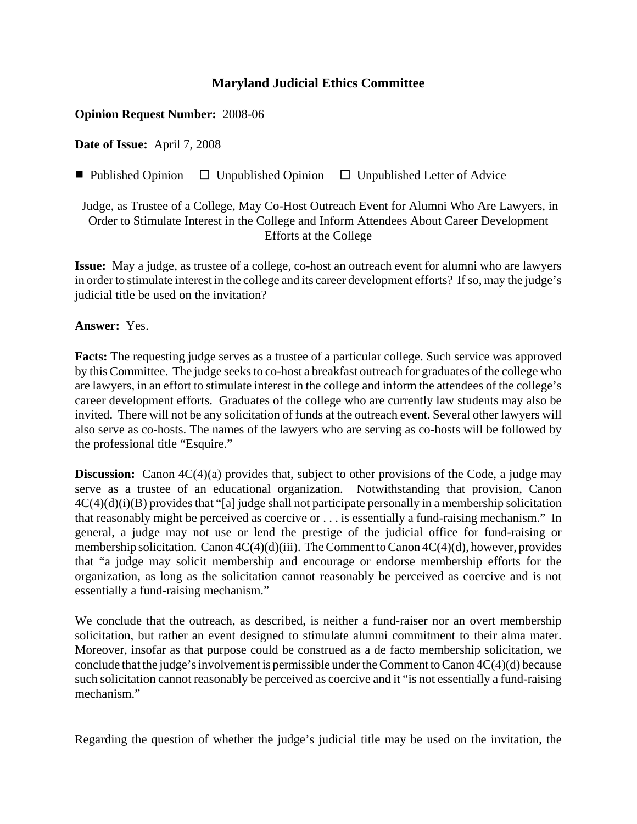## **Maryland Judicial Ethics Committee**

## **Opinion Request Number:** 2008-06

**Date of Issue:** April 7, 2008

■ Published Opinion □ Unpublished Opinion □ Unpublished Letter of Advice

Judge, as Trustee of a College, May Co-Host Outreach Event for Alumni Who Are Lawyers, in Order to Stimulate Interest in the College and Inform Attendees About Career Development Efforts at the College

**Issue:** May a judge, as trustee of a college, co-host an outreach event for alumni who are lawyers in order to stimulate interest in the college and its career development efforts? If so, may the judge's judicial title be used on the invitation?

**Answer:** Yes.

**Facts:** The requesting judge serves as a trustee of a particular college. Such service was approved by this Committee. The judge seeks to co-host a breakfast outreach for graduates of the college who are lawyers, in an effort to stimulate interest in the college and inform the attendees of the college's career development efforts. Graduates of the college who are currently law students may also be invited. There will not be any solicitation of funds at the outreach event. Several other lawyers will also serve as co-hosts. The names of the lawyers who are serving as co-hosts will be followed by the professional title "Esquire."

**Discussion:** Canon  $4C(4)(a)$  provides that, subject to other provisions of the Code, a judge may serve as a trustee of an educational organization. Notwithstanding that provision, Canon  $4C(4)(d)(i)(B)$  provides that "[a] judge shall not participate personally in a membership solicitation that reasonably might be perceived as coercive or . . . is essentially a fund-raising mechanism." In general, a judge may not use or lend the prestige of the judicial office for fund-raising or membership solicitation. Canon 4C(4)(d)(iii). The Comment to Canon 4C(4)(d), however, provides that "a judge may solicit membership and encourage or endorse membership efforts for the organization, as long as the solicitation cannot reasonably be perceived as coercive and is not essentially a fund-raising mechanism."

We conclude that the outreach, as described, is neither a fund-raiser nor an overt membership solicitation, but rather an event designed to stimulate alumni commitment to their alma mater. Moreover, insofar as that purpose could be construed as a de facto membership solicitation, we conclude that the judge's involvement is permissible under the Comment to Canon 4C(4)(d) because such solicitation cannot reasonably be perceived as coercive and it "is not essentially a fund-raising mechanism."

Regarding the question of whether the judge's judicial title may be used on the invitation, the